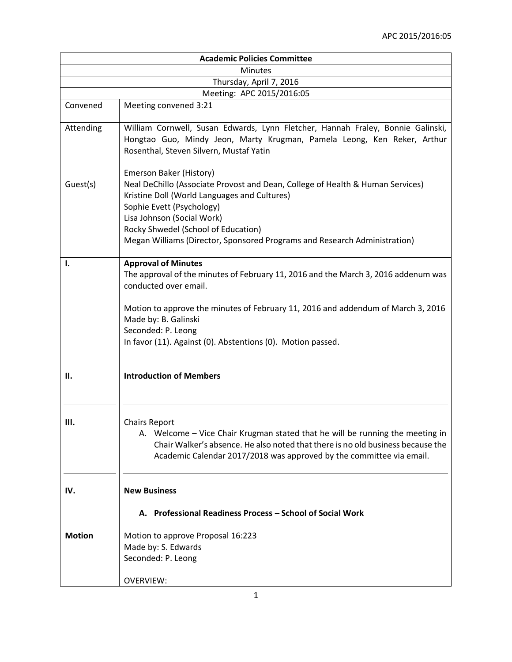| <b>Academic Policies Committee</b> |                                                                                                                                                                                                                                                                             |  |
|------------------------------------|-----------------------------------------------------------------------------------------------------------------------------------------------------------------------------------------------------------------------------------------------------------------------------|--|
| <b>Minutes</b>                     |                                                                                                                                                                                                                                                                             |  |
|                                    | Thursday, April 7, 2016                                                                                                                                                                                                                                                     |  |
|                                    | Meeting: APC 2015/2016:05                                                                                                                                                                                                                                                   |  |
| Convened                           | Meeting convened 3:21                                                                                                                                                                                                                                                       |  |
| Attending                          | William Cornwell, Susan Edwards, Lynn Fletcher, Hannah Fraley, Bonnie Galinski,<br>Hongtao Guo, Mindy Jeon, Marty Krugman, Pamela Leong, Ken Reker, Arthur<br>Rosenthal, Steven Silvern, Mustaf Yatin                                                                       |  |
| Guest(s)                           | Emerson Baker (History)<br>Neal DeChillo (Associate Provost and Dean, College of Health & Human Services)<br>Kristine Doll (World Languages and Cultures)<br>Sophie Evett (Psychology)<br>Lisa Johnson (Social Work)                                                        |  |
|                                    | Rocky Shwedel (School of Education)<br>Megan Williams (Director, Sponsored Programs and Research Administration)                                                                                                                                                            |  |
| 1.                                 | <b>Approval of Minutes</b><br>The approval of the minutes of February 11, 2016 and the March 3, 2016 addenum was<br>conducted over email.<br>Motion to approve the minutes of February 11, 2016 and addendum of March 3, 2016<br>Made by: B. Galinski<br>Seconded: P. Leong |  |
|                                    | In favor (11). Against (0). Abstentions (0). Motion passed.                                                                                                                                                                                                                 |  |
| П.                                 | <b>Introduction of Members</b>                                                                                                                                                                                                                                              |  |
| Ш.                                 | <b>Chairs Report</b><br>A. Welcome - Vice Chair Krugman stated that he will be running the meeting in<br>Chair Walker's absence. He also noted that there is no old business because the<br>Academic Calendar 2017/2018 was approved by the committee via email.            |  |
| IV.                                | <b>New Business</b>                                                                                                                                                                                                                                                         |  |
|                                    | A. Professional Readiness Process - School of Social Work                                                                                                                                                                                                                   |  |
| <b>Motion</b>                      | Motion to approve Proposal 16:223<br>Made by: S. Edwards<br>Seconded: P. Leong                                                                                                                                                                                              |  |
|                                    | <b>OVERVIEW:</b>                                                                                                                                                                                                                                                            |  |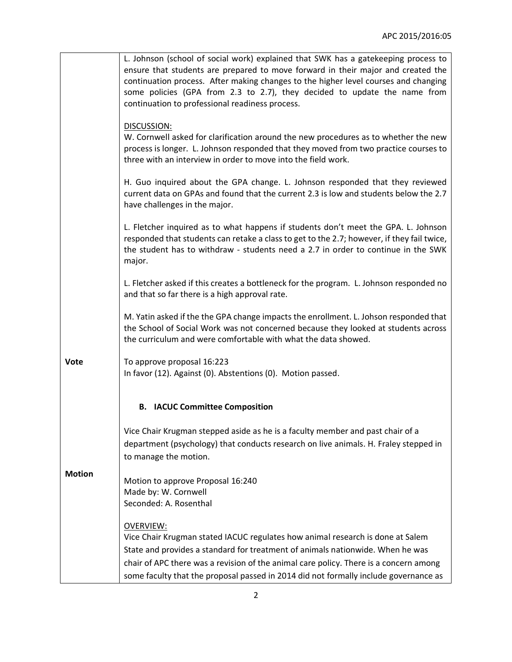|               | L. Johnson (school of social work) explained that SWK has a gatekeeping process to<br>ensure that students are prepared to move forward in their major and created the<br>continuation process. After making changes to the higher level courses and changing<br>some policies (GPA from 2.3 to 2.7), they decided to update the name from<br>continuation to professional readiness process. |
|---------------|-----------------------------------------------------------------------------------------------------------------------------------------------------------------------------------------------------------------------------------------------------------------------------------------------------------------------------------------------------------------------------------------------|
|               | DISCUSSION:<br>W. Cornwell asked for clarification around the new procedures as to whether the new<br>process is longer. L. Johnson responded that they moved from two practice courses to<br>three with an interview in order to move into the field work.                                                                                                                                   |
|               | H. Guo inquired about the GPA change. L. Johnson responded that they reviewed<br>current data on GPAs and found that the current 2.3 is low and students below the 2.7<br>have challenges in the major.                                                                                                                                                                                       |
|               | L. Fletcher inquired as to what happens if students don't meet the GPA. L. Johnson<br>responded that students can retake a class to get to the 2.7; however, if they fail twice,<br>the student has to withdraw - students need a 2.7 in order to continue in the SWK<br>major.                                                                                                               |
|               | L. Fletcher asked if this creates a bottleneck for the program. L. Johnson responded no<br>and that so far there is a high approval rate.                                                                                                                                                                                                                                                     |
|               | M. Yatin asked if the the GPA change impacts the enrollment. L. Johson responded that<br>the School of Social Work was not concerned because they looked at students across<br>the curriculum and were comfortable with what the data showed.                                                                                                                                                 |
| <b>Vote</b>   | To approve proposal 16:223<br>In favor (12). Against (0). Abstentions (0). Motion passed.                                                                                                                                                                                                                                                                                                     |
|               | <b>B.</b> IACUC Committee Composition                                                                                                                                                                                                                                                                                                                                                         |
|               | Vice Chair Krugman stepped aside as he is a faculty member and past chair of a<br>department (psychology) that conducts research on live animals. H. Fraley stepped in<br>to manage the motion.                                                                                                                                                                                               |
| <b>Motion</b> | Motion to approve Proposal 16:240<br>Made by: W. Cornwell<br>Seconded: A. Rosenthal                                                                                                                                                                                                                                                                                                           |
|               | <b>OVERVIEW:</b><br>Vice Chair Krugman stated IACUC regulates how animal research is done at Salem<br>State and provides a standard for treatment of animals nationwide. When he was<br>chair of APC there was a revision of the animal care policy. There is a concern among<br>some faculty that the proposal passed in 2014 did not formally include governance as                         |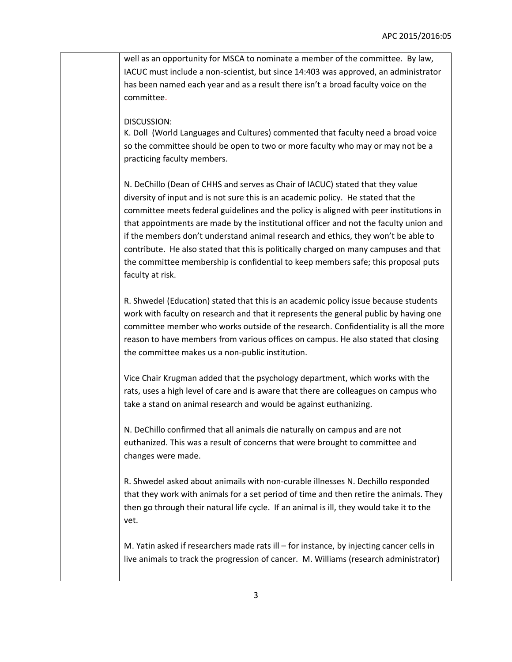well as an opportunity for MSCA to nominate a member of the committee. By law, IACUC must include a non-scientist, but since 14:403 was approved, an administrator has been named each year and as a result there isn't a broad faculty voice on the committee.

## DISCUSSION:

K. Doll (World Languages and Cultures) commented that faculty need a broad voice so the committee should be open to two or more faculty who may or may not be a practicing faculty members.

N. DeChillo (Dean of CHHS and serves as Chair of IACUC) stated that they value diversity of input and is not sure this is an academic policy. He stated that the committee meets federal guidelines and the policy is aligned with peer institutions in that appointments are made by the institutional officer and not the faculty union and if the members don't understand animal research and ethics, they won't be able to contribute. He also stated that this is politically charged on many campuses and that the committee membership is confidential to keep members safe; this proposal puts faculty at risk.

R. Shwedel (Education) stated that this is an academic policy issue because students work with faculty on research and that it represents the general public by having one committee member who works outside of the research. Confidentiality is all the more reason to have members from various offices on campus. He also stated that closing the committee makes us a non-public institution.

Vice Chair Krugman added that the psychology department, which works with the rats, uses a high level of care and is aware that there are colleagues on campus who take a stand on animal research and would be against euthanizing.

N. DeChillo confirmed that all animals die naturally on campus and are not euthanized. This was a result of concerns that were brought to committee and changes were made.

R. Shwedel asked about animails with non-curable illnesses N. Dechillo responded that they work with animals for a set period of time and then retire the animals. They then go through their natural life cycle. If an animal is ill, they would take it to the vet.

M. Yatin asked if researchers made rats ill – for instance, by injecting cancer cells in live animals to track the progression of cancer. M. Williams (research administrator)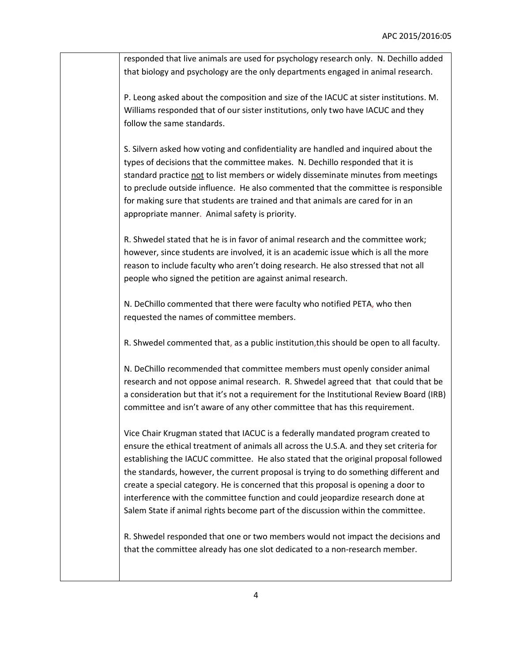responded that live animals are used for psychology research only. N. Dechillo added that biology and psychology are the only departments engaged in animal research.

P. Leong asked about the composition and size of the IACUC at sister institutions. M. Williams responded that of our sister institutions, only two have IACUC and they follow the same standards.

S. Silvern asked how voting and confidentiality are handled and inquired about the types of decisions that the committee makes. N. Dechillo responded that it is standard practice not to list members or widely disseminate minutes from meetings to preclude outside influence. He also commented that the committee is responsible for making sure that students are trained and that animals are cared for in an appropriate manner. Animal safety is priority.

R. Shwedel stated that he is in favor of animal research and the committee work; however, since students are involved, it is an academic issue which is all the more reason to include faculty who aren't doing research. He also stressed that not all people who signed the petition are against animal research.

N. DeChillo commented that there were faculty who notified PETA, who then requested the names of committee members.

R. Shwedel commented that, as a public institution,this should be open to all faculty.

N. DeChillo recommended that committee members must openly consider animal research and not oppose animal research. R. Shwedel agreed that that could that be a consideration but that it's not a requirement for the Institutional Review Board (IRB) committee and isn't aware of any other committee that has this requirement.

Vice Chair Krugman stated that IACUC is a federally mandated program created to ensure the ethical treatment of animals all across the U.S.A. and they set criteria for establishing the IACUC committee. He also stated that the original proposal followed the standards, however, the current proposal is trying to do something different and create a special category. He is concerned that this proposal is opening a door to interference with the committee function and could jeopardize research done at Salem State if animal rights become part of the discussion within the committee.

R. Shwedel responded that one or two members would not impact the decisions and that the committee already has one slot dedicated to a non-research member.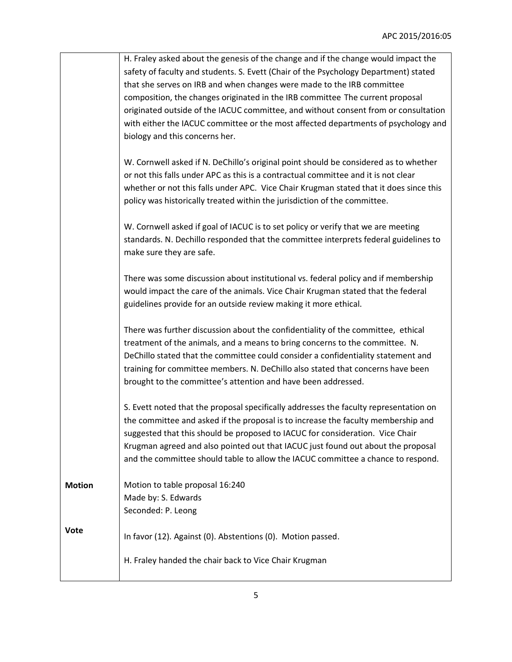|               | H. Fraley asked about the genesis of the change and if the change would impact the     |
|---------------|----------------------------------------------------------------------------------------|
|               | safety of faculty and students. S. Evett (Chair of the Psychology Department) stated   |
|               | that she serves on IRB and when changes were made to the IRB committee                 |
|               | composition, the changes originated in the IRB committee The current proposal          |
|               | originated outside of the IACUC committee, and without consent from or consultation    |
|               | with either the IACUC committee or the most affected departments of psychology and     |
|               | biology and this concerns her.                                                         |
|               |                                                                                        |
|               | W. Cornwell asked if N. DeChillo's original point should be considered as to whether   |
|               | or not this falls under APC as this is a contractual committee and it is not clear     |
|               | whether or not this falls under APC. Vice Chair Krugman stated that it does since this |
|               | policy was historically treated within the jurisdiction of the committee.              |
|               |                                                                                        |
|               | W. Cornwell asked if goal of IACUC is to set policy or verify that we are meeting      |
|               | standards. N. Dechillo responded that the committee interprets federal guidelines to   |
|               | make sure they are safe.                                                               |
|               |                                                                                        |
|               | There was some discussion about institutional vs. federal policy and if membership     |
|               | would impact the care of the animals. Vice Chair Krugman stated that the federal       |
|               | guidelines provide for an outside review making it more ethical.                       |
|               |                                                                                        |
|               | There was further discussion about the confidentiality of the committee, ethical       |
|               | treatment of the animals, and a means to bring concerns to the committee. N.           |
|               | DeChillo stated that the committee could consider a confidentiality statement and      |
|               | training for committee members. N. DeChillo also stated that concerns have been        |
|               | brought to the committee's attention and have been addressed.                          |
|               |                                                                                        |
|               | S. Evett noted that the proposal specifically addresses the faculty representation on  |
|               | the committee and asked if the proposal is to increase the faculty membership and      |
|               | suggested that this should be proposed to IACUC for consideration. Vice Chair          |
|               | Krugman agreed and also pointed out that IACUC just found out about the proposal       |
|               | and the committee should table to allow the IACUC committee a chance to respond.       |
|               |                                                                                        |
| <b>Motion</b> | Motion to table proposal 16:240                                                        |
|               | Made by: S. Edwards                                                                    |
|               | Seconded: P. Leong                                                                     |
| Vote          |                                                                                        |
|               | In favor (12). Against (0). Abstentions (0). Motion passed.                            |
|               |                                                                                        |
|               | H. Fraley handed the chair back to Vice Chair Krugman                                  |
|               |                                                                                        |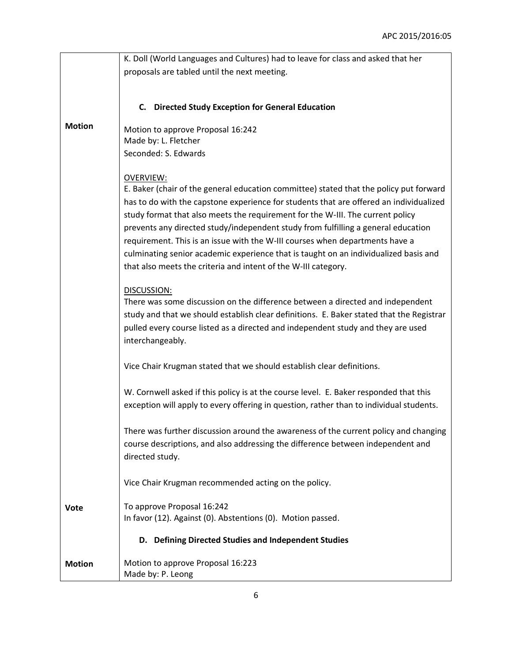|               | K. Doll (World Languages and Cultures) had to leave for class and asked that her                                                                                                                                                                                                                                                                                                                                                                                                                                                                                                                                      |
|---------------|-----------------------------------------------------------------------------------------------------------------------------------------------------------------------------------------------------------------------------------------------------------------------------------------------------------------------------------------------------------------------------------------------------------------------------------------------------------------------------------------------------------------------------------------------------------------------------------------------------------------------|
|               | proposals are tabled until the next meeting.                                                                                                                                                                                                                                                                                                                                                                                                                                                                                                                                                                          |
|               |                                                                                                                                                                                                                                                                                                                                                                                                                                                                                                                                                                                                                       |
|               | C. Directed Study Exception for General Education                                                                                                                                                                                                                                                                                                                                                                                                                                                                                                                                                                     |
| <b>Motion</b> | Motion to approve Proposal 16:242                                                                                                                                                                                                                                                                                                                                                                                                                                                                                                                                                                                     |
|               | Made by: L. Fletcher                                                                                                                                                                                                                                                                                                                                                                                                                                                                                                                                                                                                  |
|               | Seconded: S. Edwards                                                                                                                                                                                                                                                                                                                                                                                                                                                                                                                                                                                                  |
|               | <b>OVERVIEW:</b><br>E. Baker (chair of the general education committee) stated that the policy put forward<br>has to do with the capstone experience for students that are offered an individualized<br>study format that also meets the requirement for the W-III. The current policy<br>prevents any directed study/independent study from fulfilling a general education<br>requirement. This is an issue with the W-III courses when departments have a<br>culminating senior academic experience that is taught on an individualized basis and<br>that also meets the criteria and intent of the W-III category. |
|               |                                                                                                                                                                                                                                                                                                                                                                                                                                                                                                                                                                                                                       |
|               | DISCUSSION:<br>There was some discussion on the difference between a directed and independent<br>study and that we should establish clear definitions. E. Baker stated that the Registrar<br>pulled every course listed as a directed and independent study and they are used<br>interchangeably.                                                                                                                                                                                                                                                                                                                     |
|               | Vice Chair Krugman stated that we should establish clear definitions.                                                                                                                                                                                                                                                                                                                                                                                                                                                                                                                                                 |
|               | W. Cornwell asked if this policy is at the course level. E. Baker responded that this<br>exception will apply to every offering in question, rather than to individual students.                                                                                                                                                                                                                                                                                                                                                                                                                                      |
|               | There was further discussion around the awareness of the current policy and changing<br>course descriptions, and also addressing the difference between independent and<br>directed study.                                                                                                                                                                                                                                                                                                                                                                                                                            |
|               | Vice Chair Krugman recommended acting on the policy.                                                                                                                                                                                                                                                                                                                                                                                                                                                                                                                                                                  |
| <b>Vote</b>   | To approve Proposal 16:242<br>In favor (12). Against (0). Abstentions (0). Motion passed.                                                                                                                                                                                                                                                                                                                                                                                                                                                                                                                             |
|               | D. Defining Directed Studies and Independent Studies                                                                                                                                                                                                                                                                                                                                                                                                                                                                                                                                                                  |
| <b>Motion</b> | Motion to approve Proposal 16:223<br>Made by: P. Leong                                                                                                                                                                                                                                                                                                                                                                                                                                                                                                                                                                |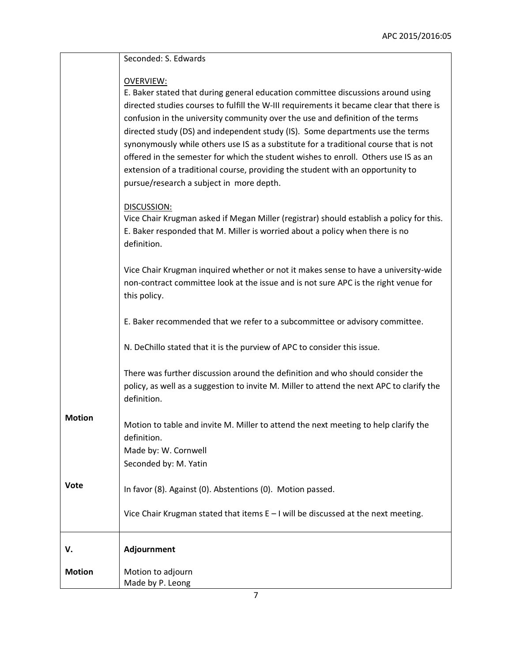|               | Seconded: S. Edwards                                                                                                                                                                                                                                                                                                                                                                                                                                                                                                                                                                                                                                                                |
|---------------|-------------------------------------------------------------------------------------------------------------------------------------------------------------------------------------------------------------------------------------------------------------------------------------------------------------------------------------------------------------------------------------------------------------------------------------------------------------------------------------------------------------------------------------------------------------------------------------------------------------------------------------------------------------------------------------|
|               | <b>OVERVIEW:</b><br>E. Baker stated that during general education committee discussions around using<br>directed studies courses to fulfill the W-III requirements it became clear that there is<br>confusion in the university community over the use and definition of the terms<br>directed study (DS) and independent study (IS). Some departments use the terms<br>synonymously while others use IS as a substitute for a traditional course that is not<br>offered in the semester for which the student wishes to enroll. Others use IS as an<br>extension of a traditional course, providing the student with an opportunity to<br>pursue/research a subject in more depth. |
|               | DISCUSSION:<br>Vice Chair Krugman asked if Megan Miller (registrar) should establish a policy for this.<br>E. Baker responded that M. Miller is worried about a policy when there is no<br>definition.                                                                                                                                                                                                                                                                                                                                                                                                                                                                              |
|               | Vice Chair Krugman inquired whether or not it makes sense to have a university-wide<br>non-contract committee look at the issue and is not sure APC is the right venue for<br>this policy.                                                                                                                                                                                                                                                                                                                                                                                                                                                                                          |
|               | E. Baker recommended that we refer to a subcommittee or advisory committee.                                                                                                                                                                                                                                                                                                                                                                                                                                                                                                                                                                                                         |
|               | N. DeChillo stated that it is the purview of APC to consider this issue.                                                                                                                                                                                                                                                                                                                                                                                                                                                                                                                                                                                                            |
|               | There was further discussion around the definition and who should consider the<br>policy, as well as a suggestion to invite M. Miller to attend the next APC to clarify the<br>definition.                                                                                                                                                                                                                                                                                                                                                                                                                                                                                          |
| <b>Motion</b> | Motion to table and invite M. Miller to attend the next meeting to help clarify the<br>definition.<br>Made by: W. Cornwell<br>Seconded by: M. Yatin                                                                                                                                                                                                                                                                                                                                                                                                                                                                                                                                 |
| Vote          | In favor (8). Against (0). Abstentions (0). Motion passed.                                                                                                                                                                                                                                                                                                                                                                                                                                                                                                                                                                                                                          |
|               | Vice Chair Krugman stated that items $E - I$ will be discussed at the next meeting.                                                                                                                                                                                                                                                                                                                                                                                                                                                                                                                                                                                                 |
| V.            | Adjournment                                                                                                                                                                                                                                                                                                                                                                                                                                                                                                                                                                                                                                                                         |
| <b>Motion</b> | Motion to adjourn<br>Made by P. Leong                                                                                                                                                                                                                                                                                                                                                                                                                                                                                                                                                                                                                                               |